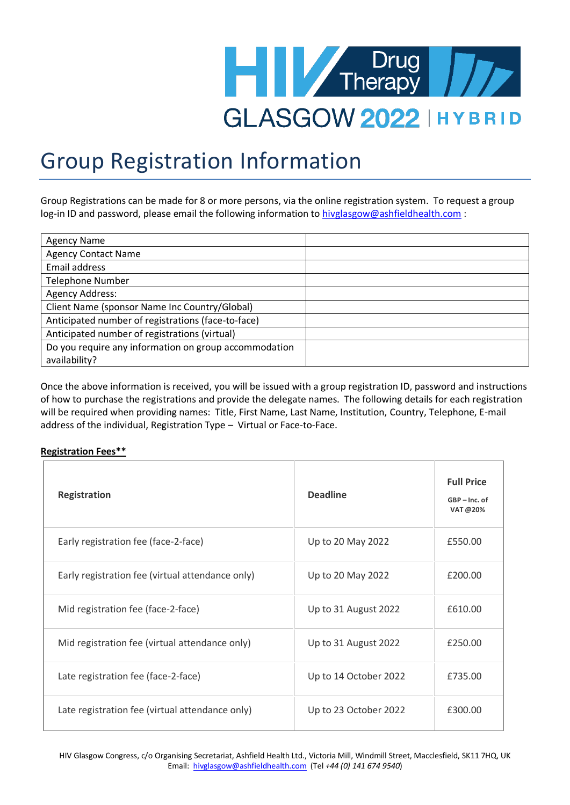

## Group Registration Information

Group Registrations can be made for 8 or more persons, via the online registration system. To request a group log-in ID and password, please email the following information to [hivglasgow@ashfieldhealth.com](mailto:hivglasgow@ashfieldhealth.com) :

| <b>Agency Name</b>                                    |  |
|-------------------------------------------------------|--|
| <b>Agency Contact Name</b>                            |  |
| Email address                                         |  |
| <b>Telephone Number</b>                               |  |
| <b>Agency Address:</b>                                |  |
| Client Name (sponsor Name Inc Country/Global)         |  |
| Anticipated number of registrations (face-to-face)    |  |
| Anticipated number of registrations (virtual)         |  |
| Do you require any information on group accommodation |  |
| availability?                                         |  |

Once the above information is received, you will be issued with a group registration ID, password and instructions of how to purchase the registrations and provide the delegate names. The following details for each registration will be required when providing names: Title, First Name, Last Name, Institution, Country, Telephone, E-mail address of the individual, Registration Type – Virtual or Face-to-Face.

## **Registration Fees\*\***

| <b>Registration</b>                              | <b>Deadline</b>       | <b>Full Price</b><br>GBP-Inc. of<br>VAT @20% |
|--------------------------------------------------|-----------------------|----------------------------------------------|
| Early registration fee (face-2-face)             | Up to 20 May 2022     | £550.00                                      |
| Early registration fee (virtual attendance only) | Up to 20 May 2022     | £200.00                                      |
| Mid registration fee (face-2-face)               | Up to 31 August 2022  | £610.00                                      |
| Mid registration fee (virtual attendance only)   | Up to 31 August 2022  | £250.00                                      |
| Late registration fee (face-2-face)              | Up to 14 October 2022 | £735.00                                      |
| Late registration fee (virtual attendance only)  | Up to 23 October 2022 | £300.00                                      |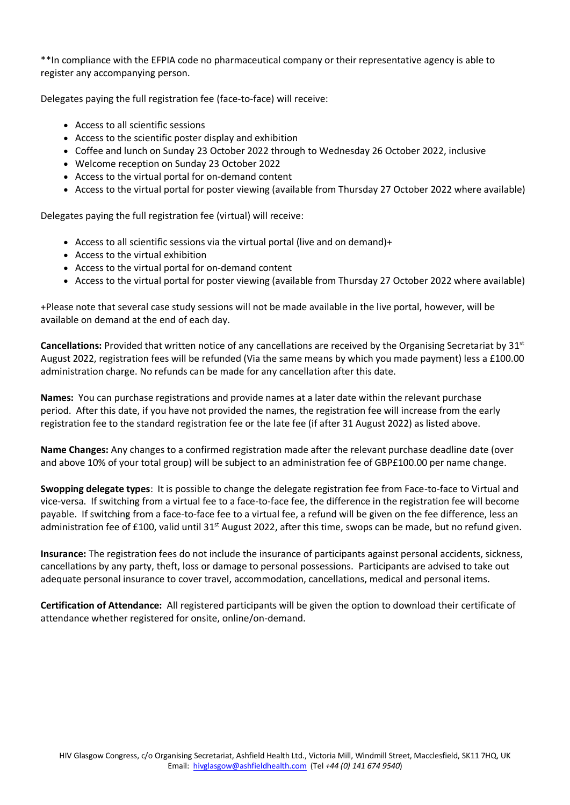\*\*In compliance with the EFPIA code no pharmaceutical company or their representative agency is able to register any accompanying person.

Delegates paying the full registration fee (face-to-face) will receive:

- Access to all scientific sessions
- Access to the scientific poster display and exhibition
- Coffee and lunch on Sunday 23 October 2022 through to Wednesday 26 October 2022, inclusive
- Welcome reception on Sunday 23 October 2022
- Access to the virtual portal for on-demand content
- Access to the virtual portal for poster viewing (available from Thursday 27 October 2022 where available)

Delegates paying the full registration fee (virtual) will receive:

- Access to all scientific sessions via the virtual portal (live and on demand)+
- Access to the virtual exhibition
- Access to the virtual portal for on-demand content
- Access to the virtual portal for poster viewing (available from Thursday 27 October 2022 where available)

+Please note that several case study sessions will not be made available in the live portal, however, will be available on demand at the end of each day.

Cancellations: Provided that written notice of any cancellations are received by the Organising Secretariat by 31<sup>st</sup> August 2022, registration fees will be refunded (Via the same means by which you made payment) less a £100.00 administration charge. No refunds can be made for any cancellation after this date.

**Names:** You can purchase registrations and provide names at a later date within the relevant purchase period. After this date, if you have not provided the names, the registration fee will increase from the early registration fee to the standard registration fee or the late fee (if after 31 August 2022) as listed above.

**Name Changes:** Any changes to a confirmed registration made after the relevant purchase deadline date (over and above 10% of your total group) will be subject to an administration fee of GBP£100.00 per name change.

**Swopping delegate types**: It is possible to change the delegate registration fee from Face-to-face to Virtual and vice-versa. If switching from a virtual fee to a face-to-face fee, the difference in the registration fee will become payable. If switching from a face-to-face fee to a virtual fee, a refund will be given on the fee difference, less an administration fee of £100, valid until 31<sup>st</sup> August 2022, after this time, swops can be made, but no refund given.

**Insurance:** The registration fees do not include the insurance of participants against personal accidents, sickness, cancellations by any party, theft, loss or damage to personal possessions. Participants are advised to take out adequate personal insurance to cover travel, accommodation, cancellations, medical and personal items.

**Certification of Attendance:** All registered participants will be given the option to download their certificate of attendance whether registered for onsite, online/on-demand.